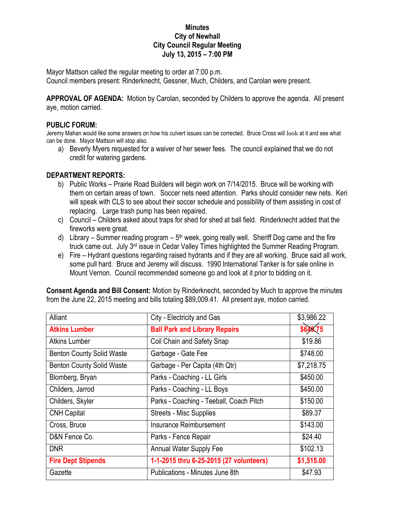### **Minutes City of Newhall City Council Regular Meeting July 13, 2015 – 7:00 PM**

Mayor Mattson called the regular meeting to order at 7:00 p.m. Council members present: Rinderknecht, Gessner, Much, Childers, and Carolan were present.

**APPROVAL OF AGENDA:** Motion by Carolan, seconded by Childers to approve the agenda. All present aye, motion carried.

### **PUBLIC FORUM:**

Jeremy Mahan would like some answers on how his culvert issues can be corrected. Bruce Cross will look at it and see what can be done. Mayor Mattson will stop also.

a) Beverly Myers requested for a waiver of her sewer fees. The council explained that we do not credit for watering gardens.

# **DEPARTMENT REPORTS:**

- b) Public Works Prairie Road Builders will begin work on 7/14/2015. Bruce will be working with them on certain areas of town. Soccer nets need attention. Parks should consider new nets. Keri will speak with CLS to see about their soccer schedule and possibility of them assisting in cost of replacing. Large trash pump has been repaired.
- c) Council Childers asked about traps for shed for shed at ball field. Rinderknecht added that the fireworks were great.
- d) Library Summer reading program  $5<sup>th</sup>$  week, going really well. Sheriff Dog came and the fire truck came out. July 3<sup>rd</sup> issue in Cedar Valley Times highlighted the Summer Reading Program.
- e) Fire Hydrant questions regarding raised hydrants and if they are all working. Bruce said all work, some pull hard. Bruce and Jeremy will discuss. 1990 International Tanker is for sale online in Mount Vernon. Council recommended someone go and look at it prior to bidding on it.

| Alliant                          | City - Electricity and Gas              | \$3,986.22 |
|----------------------------------|-----------------------------------------|------------|
| <b>Atkins Lumber</b>             | <b>Ball Park and Library Repairs</b>    | \$649.75   |
| <b>Atkins Lumber</b>             | Coil Chain and Safety Snap              | \$19.86    |
| <b>Benton County Solid Waste</b> | Garbage - Gate Fee                      | \$748.00   |
| <b>Benton County Solid Waste</b> | Garbage - Per Capita (4th Qtr)          | \$7,218.75 |
| Blomberg, Bryan                  | Parks - Coaching - LL Girls             | \$450.00   |
| Childers, Jarrod                 | Parks - Coaching - LL Boys              | \$450.00   |
| Childers, Skyler                 | Parks - Coaching - Teeball, Coach Pitch | \$150.00   |
| <b>CNH Capital</b>               | <b>Streets - Misc Supplies</b>          | \$89.37    |
| Cross, Bruce                     | Insurance Reimbursement                 | \$143.00   |
| D&N Fence Co.                    | Parks - Fence Repair                    | \$24.40    |
| <b>DNR</b>                       | <b>Annual Water Supply Fee</b>          | \$102.13   |
| <b>Fire Dept Stipends</b>        | 1-1-2015 thru 6-25-2015 (27 volunteers) | \$1,515.00 |
| Gazette                          | Publications - Minutes June 8th         | \$47.93    |

**Consent Agenda and Bill Consent:** Motion by Rinderknecht, seconded by Much to approve the minutes from the June 22, 2015 meeting and bills totaling \$89,009.41. All present aye, motion carried.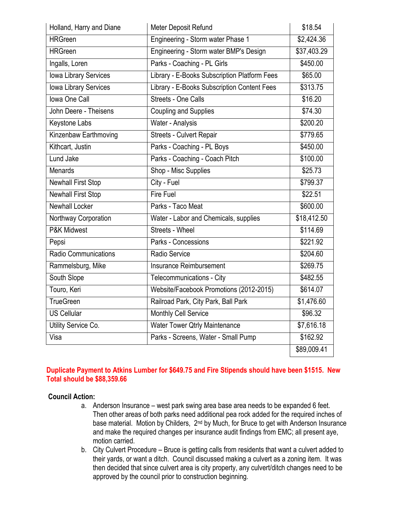| Holland, Harry and Diane     | Meter Deposit Refund                         | \$18.54     |
|------------------------------|----------------------------------------------|-------------|
| <b>HRGreen</b>               | Engineering - Storm water Phase 1            | \$2,424.36  |
| <b>HRGreen</b>               | Engineering - Storm water BMP's Design       | \$37,403.29 |
| Ingalls, Loren               | Parks - Coaching - PL Girls                  | \$450.00    |
| <b>Iowa Library Services</b> | Library - E-Books Subscription Platform Fees | \$65.00     |
| <b>Iowa Library Services</b> | Library - E-Books Subscription Content Fees  | \$313.75    |
| Iowa One Call                | <b>Streets - One Calls</b>                   | \$16.20     |
| John Deere - Theisens        | <b>Coupling and Supplies</b>                 | \$74.30     |
| Keystone Labs                | Water - Analysis                             | \$200.20    |
| Kinzenbaw Earthmoving        | Streets - Culvert Repair                     | \$779.65    |
| Kithcart, Justin             | Parks - Coaching - PL Boys                   | \$450.00    |
| <b>Lund Jake</b>             | Parks - Coaching - Coach Pitch               | \$100.00    |
| <b>Menards</b>               | Shop - Misc Supplies                         | \$25.73     |
| <b>Newhall First Stop</b>    | City - Fuel                                  | \$799.37    |
| <b>Newhall First Stop</b>    | <b>Fire Fuel</b>                             | \$22.51     |
| <b>Newhall Locker</b>        | Parks - Taco Meat                            | \$600.00    |
| Northway Corporation         | Water - Labor and Chemicals, supplies        | \$18,412.50 |
| P&K Midwest                  | Streets - Wheel                              | \$114.69    |
| Pepsi                        | Parks - Concessions                          | \$221.92    |
| Radio Communications         | Radio Service                                | \$204.60    |
| Rammelsburg, Mike            | Insurance Reimbursement                      | \$269.75    |
| South Slope                  | Telecommunications - City                    | \$482.55    |
| Touro, Keri                  | Website/Facebook Promotions (2012-2015)      | \$614.07    |
| <b>TrueGreen</b>             | Railroad Park, City Park, Ball Park          | \$1,476.60  |
| <b>US Cellular</b>           | Monthly Cell Service                         | \$96.32     |
| Utility Service Co.          | Water Tower Qtrly Maintenance                | \$7,616.18  |
| Visa                         | Parks - Screens, Water - Small Pump          | \$162.92    |
|                              |                                              | \$89,009.41 |

# **Duplicate Payment to Atkins Lumber for \$649.75 and Fire Stipends should have been \$1515. New Total should be \$88,359.66**

# **Council Action:**

- a. Anderson Insurance west park swing area base area needs to be expanded 6 feet. Then other areas of both parks need additional pea rock added for the required inches of base material. Motion by Childers, 2<sup>nd</sup> by Much, for Bruce to get with Anderson Insurance and make the required changes per insurance audit findings from EMC; all present aye, motion carried.
- b. City Culvert Procedure Bruce is getting calls from residents that want a culvert added to their yards, or want a ditch. Council discussed making a culvert as a zoning item. It was then decided that since culvert area is city property, any culvert/ditch changes need to be approved by the council prior to construction beginning.